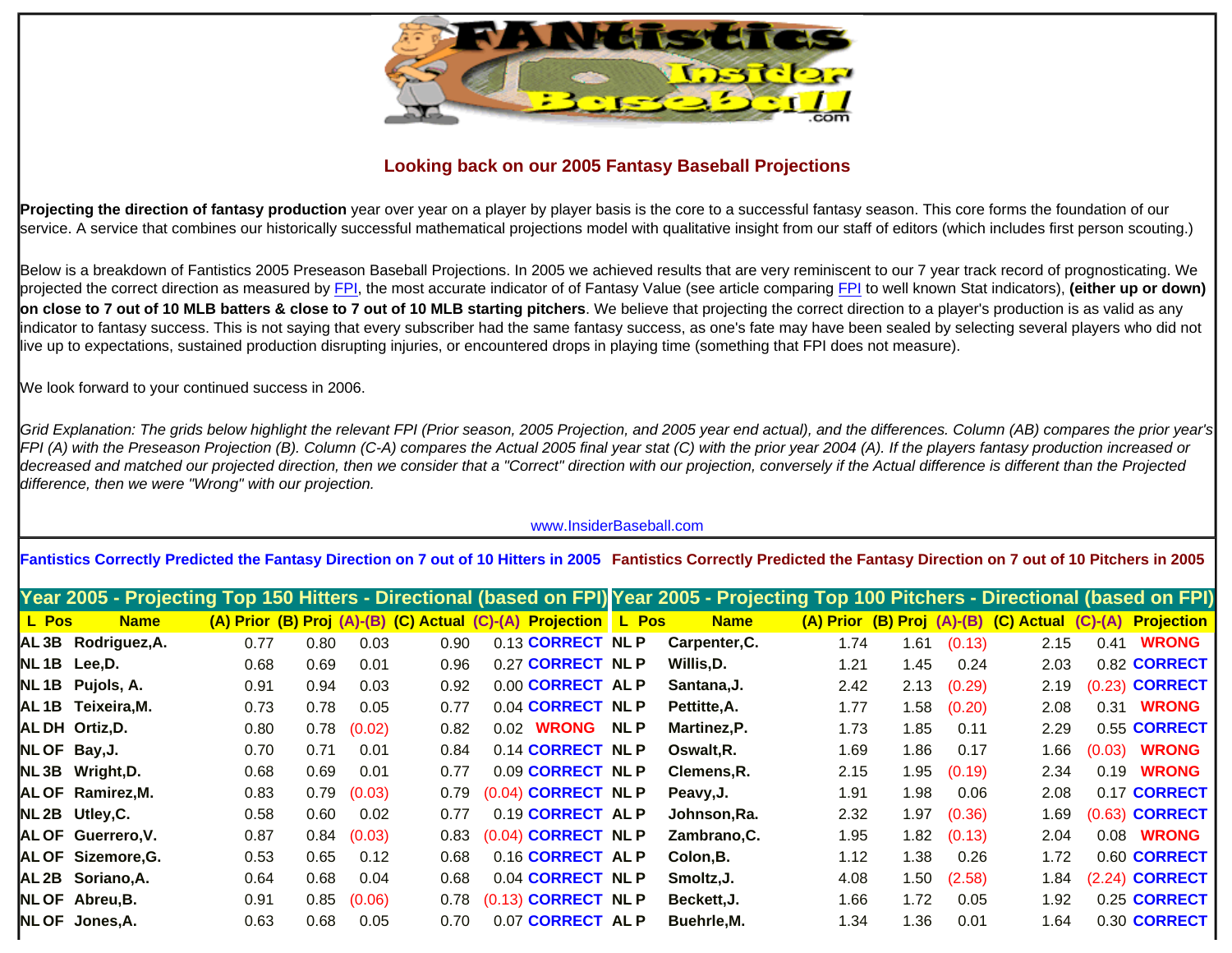

## **Looking back on our 2005 Fantasy Baseball Projections**

**Projecting the direction of fantasy production** year over year on a player by player basis is the core to a successful fantasy season. This core forms the foundation of our service. A service that combines our historically successful mathematical projections model with qualitative insight from our staff of editors (which includes first person scouting.)

Below is a breakdown of Fantistics 2005 Preseason Baseball Projections. In 2005 we achieved results that are very reminiscent to our 7 year track record of prognosticating. We projected the correct direction as measured by [FPI](http://www.insiderbaseball.com/Angelo-v2.htm), the most accurate indicator of of Fantasy Value (see article comparing [FPI](http://www.insiderbaseball.com/Angelo-v2.htm) to well known Stat indicators), **(either up or down) on close to 7 out of 10 MLB batters & close to 7 out of 10 MLB starting pitchers**. We believe that projecting the correct direction to a player's production is as valid as any indicator to fantasy success. This is not saying that every subscriber had the same fantasy success, as one's fate may have been sealed by selecting several players who did not live up to expectations, sustained production disrupting injuries, or encountered drops in playing time (something that FPI does not measure).

We look forward to your continued success in 2006.

*Grid Explanation: The grids below highlight the relevant FPI (Prior season, 2005 Projection, and 2005 year end actual), and the differences. Column (AB) compares the prior year's FPI (A) with the Preseason Projection (B). Column (C-A) compares the Actual 2005 final year stat (C) with the prior year 2004 (A). If the players fantasy production increased or decreased and matched our projected direction, then we consider that a "Correct" direction with our projection, conversely if the Actual difference is different than the Projected difference, then we were "Wrong" with our projection.*

## www.InsiderBaseball.com

**Fantistics Correctly Predicted the Fantasy Direction on 7 out of 10 Hitters in 2005 Fantistics Correctly Predicted the Fantasy Direction on 7 out of 10 Pitchers in 2005**

|       |                 |                    |      |      |        |      |                                                                |            | Year 2005 - Projecting Top 150 Hitters - Directional (based on FPI) Year 2005 - Projecting Top 100 Pitchers - Directional (based on FPI) |      |      |        |                                               |      |                       |
|-------|-----------------|--------------------|------|------|--------|------|----------------------------------------------------------------|------------|------------------------------------------------------------------------------------------------------------------------------------------|------|------|--------|-----------------------------------------------|------|-----------------------|
| L Pos |                 | <b>Name</b>        |      |      |        |      | (A) Prior (B) Proj (A)-(B) (C) Actual (C)-(A) Projection L Pos |            | <b>Name</b>                                                                                                                              |      |      |        | (A) Prior (B) Proj (A)-(B) (C) Actual (C)-(A) |      | <b>Projection</b>     |
|       |                 | AL3B Rodriguez, A. | 0.77 | 0.80 | 0.03   | 0.90 | 0.13 CORRECT NL P                                              |            | Carpenter, C.                                                                                                                            | 1.74 | 1.61 | (0.13) | 2.15                                          | 0.41 | <b>WRONG</b>          |
|       | NL1B Lee, D.    |                    | 0.68 | 0.69 | 0.01   | 0.96 | 0.27 CORRECT NL P                                              |            | Willis, D.                                                                                                                               | 1.21 | 1.45 | 0.24   | 2.03                                          |      | 0.82 CORRECT          |
|       |                 | NL 1B Pujols, A.   | 0.91 | 0.94 | 0.03   | 0.92 | 0.00 CORRECT AL P                                              |            | Santana, J.                                                                                                                              | 2.42 | 2.13 | (0.29) | 2.19                                          |      | (0.23) <b>CORRECT</b> |
|       |                 | AL1B Teixeira, M.  | 0.73 | 0.78 | 0.05   | 0.77 | 0.04 CORRECT NL P                                              |            | Pettitte, A.                                                                                                                             | 1.77 | 1.58 | (0.20) | 2.08                                          | 0.31 | <b>WRONG</b>          |
|       | AL DH Ortiz, D. |                    | 0.80 | 0.78 | (0.02) | 0.82 | 0.02 WRONG                                                     | <b>NLP</b> | Martinez, P.                                                                                                                             | 1.73 | 1.85 | 0.11   | 2.29                                          |      | 0.55 CORRECT          |
|       | NL OF Bay, J.   |                    | 0.70 | 0.71 | 0.01   | 0.84 | 0.14 CORRECT NL P                                              |            | Oswalt, R.                                                                                                                               | 1.69 | 1.86 | 0.17   | 1.66                                          |      | $(0.03)$ WRONG        |
|       |                 | NL3B Wright, D.    | 0.68 | 0.69 | 0.01   | 0.77 | 0.09 CORRECT NL P                                              |            | Clemens.R.                                                                                                                               | 2.15 | 1.95 | (0.19) | 2.34                                          | 0.19 | <b>WRONG</b>          |
|       |                 | AL OF Ramirez, M.  | 0.83 | 0.79 | (0.03) | 0.79 | (0.04) CORRECT NL P                                            |            | Peavy, J.                                                                                                                                | 1.91 | 1.98 | 0.06   | 2.08                                          |      | 0.17 CORRECT          |
|       | NL 2B Utley, C. |                    | 0.58 | 0.60 | 0.02   | 0.77 | 0.19 CORRECT AL P                                              |            | Johnson, Ra.                                                                                                                             | 2.32 | 1.97 | (0.36) | 1.69                                          |      | (0.63) <b>CORRECT</b> |
|       |                 | AL OF Guerrero, V. | 0.87 | 0.84 | (0.03) | 0.83 | (0.04) CORRECT NL P                                            |            | Zambrano, C.                                                                                                                             | 1.95 | 1.82 | (0.13) | 2.04                                          | 0.08 | <b>WRONG</b>          |
|       |                 | AL OF Sizemore, G. | 0.53 | 0.65 | 0.12   | 0.68 | 0.16 CORRECT AL P                                              |            | Colon, B.                                                                                                                                | 1.12 | 1.38 | 0.26   | 1.72                                          |      | 0.60 CORRECT          |
|       |                 | AL 2B Soriano, A.  | 0.64 | 0.68 | 0.04   | 0.68 | 0.04 CORRECT NL P                                              |            | Smoltz, J.                                                                                                                               | 4.08 | 1.50 | (2.58) | 84. ا                                         |      | (2.24) <b>CORRECT</b> |
|       | NL OF Abreu, B. |                    | 0.91 | 0.85 | (0.06) | 0.78 | (0.13) CORRECT NL P                                            |            | Beckett, J.                                                                                                                              | 1.66 | 1.72 | 0.05   | 1.92                                          |      | 0.25 CORRECT          |
|       | NL OF Jones, A. |                    | 0.63 | 0.68 | 0.05   | 0.70 | 0.07 CORRECT AL P                                              |            | Buehrle, M.                                                                                                                              | 1.34 | 1.36 | 0.01   | 1.64                                          |      | 0.30 CORRECT          |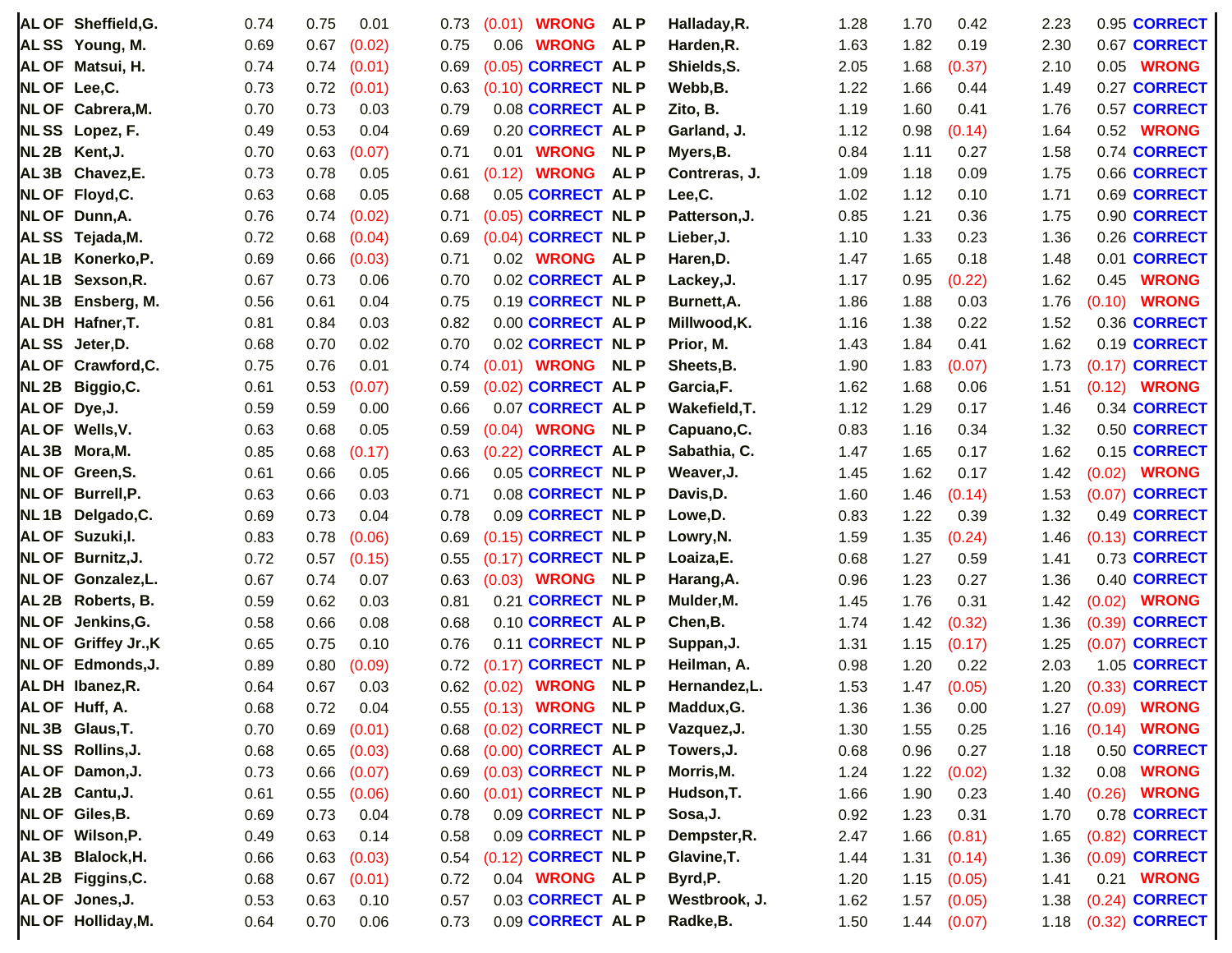|                  | AL OF Sheffield, G.  | 0.74 | 0.75 | 0.01   | 0.73 |        | $(0.01)$ WRONG ALP     |            | Halladay, R.  | 1.28 | 1.70 | 0.42        | 2.23 |        | 0.95 CORRECT          |
|------------------|----------------------|------|------|--------|------|--------|------------------------|------------|---------------|------|------|-------------|------|--------|-----------------------|
|                  | ALSS Young, M.       | 0.69 | 0.67 | (0.02) | 0.75 | 0.06   | <b>WRONG</b>           | <b>ALP</b> | Harden, R.    | 1.63 | 1.82 | 0.19        | 2.30 |        | 0.67 CORRECT          |
|                  | AL OF Matsui, H.     | 0.74 | 0.74 | (0.01) | 0.69 |        | (0.05) CORRECT AL P    |            | Shields, S.   | 2.05 | 1.68 | (0.37)      | 2.10 | 0.05   | <b>WRONG</b>          |
| NLOF Lee,C.      |                      | 0.73 | 0.72 | (0.01) | 0.63 |        | (0.10) CORRECT NL P    |            | Webb, B.      | 1.22 | 1.66 | 0.44        | 1.49 |        | 0.27 CORRECT          |
|                  | NL OF Cabrera, M.    | 0.70 | 0.73 | 0.03   | 0.79 |        | 0.08 CORRECT AL P      |            | Zito, B.      | 1.19 | 1.60 | 0.41        | 1.76 |        | 0.57 CORRECT          |
|                  | NLSS Lopez, F.       | 0.49 | 0.53 | 0.04   | 0.69 |        | 0.20 CORRECT AL P      |            | Garland, J.   | 1.12 | 0.98 | (0.14)      | 1.64 | 0.52   | <b>WRONG</b>          |
| NL <sub>2B</sub> | Kent, J.             | 0.70 | 0.63 | (0.07) | 0.71 |        | 0.01 <b>WRONG</b>      | <b>NLP</b> | Myers, B.     | 0.84 | 1.11 | 0.27        | 1.58 |        | 0.74 CORRECT          |
|                  | AL 3B Chavez, E.     | 0.73 | 0.78 | 0.05   | 0.61 | (0.12) | <b>WRONG</b>           | <b>ALP</b> | Contreras, J. | 1.09 | 1.18 | 0.09        | 1.75 |        | 0.66 CORRECT          |
|                  | NL OF Floyd, C.      | 0.63 | 0.68 | 0.05   | 0.68 |        | 0.05 CORRECT AL P      |            | Lee,C.        | 1.02 | 1.12 | 0.10        | 1.71 |        | 0.69 CORRECT          |
|                  | NL OF Dunn, A.       | 0.76 | 0.74 | (0.02) | 0.71 |        | (0.05) CORRECT NL P    |            | Patterson, J. | 0.85 | 1.21 | 0.36        | 1.75 |        | 0.90 CORRECT          |
|                  | ALSS Tejada, M.      | 0.72 | 0.68 | (0.04) | 0.69 |        | (0.04) CORRECT NL P    |            | Lieber, J.    | 1.10 | 1.33 | 0.23        | 1.36 |        | 0.26 CORRECT          |
| AL <sub>1B</sub> | Konerko, P.          | 0.69 | 0.66 | (0.03) | 0.71 |        | 0.02 WRONG             | <b>ALP</b> | Haren, D.     | 1.47 | 1.65 | 0.18        | 1.48 |        | 0.01 CORRECT          |
| AL <sub>1B</sub> | Sexson, R.           | 0.67 | 0.73 | 0.06   | 0.70 |        | 0.02 CORRECT AL P      |            | Lackey, J.    | 1.17 | 0.95 | (0.22)      | 1.62 | 0.45   | <b>WRONG</b>          |
| NL3B             | Ensberg, M.          | 0.56 | 0.61 | 0.04   | 0.75 |        | 0.19 CORRECT NL P      |            | Burnett, A.   | 1.86 | 1.88 | 0.03        | 1.76 | (0.10) | <b>WRONG</b>          |
|                  | ALDH Hafner, T.      | 0.81 | 0.84 | 0.03   | 0.82 |        | 0.00 CORRECT AL P      |            | Millwood, K.  | 1.16 | 1.38 | 0.22        | 1.52 |        | 0.36 CORRECT          |
| <b>ALSS</b>      | Jeter,D.             | 0.68 | 0.70 | 0.02   | 0.70 |        | 0.02 CORRECT NL P      |            | Prior, M.     | 1.43 | 1.84 | 0.41        | 1.62 |        | 0.19 CORRECT          |
|                  | AL OF Crawford, C.   | 0.75 | 0.76 | 0.01   | 0.74 |        | (0.01) <b>WRONG</b>    | <b>NLP</b> | Sheets, B.    | 1.90 | 1.83 | (0.07)      | 1.73 | (0.17) | <b>CORRECT</b>        |
|                  | NL 2B Biggio, C.     | 0.61 | 0.53 | (0.07) | 0.59 |        | (0.02) CORRECT AL P    |            | Garcia,F.     | 1.62 | 1.68 | 0.06        | 1.51 | (0.12) | <b>WRONG</b>          |
| AL OF Dye, J.    |                      | 0.59 | 0.59 | 0.00   | 0.66 |        | 0.07 CORRECT AL P      |            | Wakefield, T. | 1.12 | 1.29 | 0.17        | 1.46 |        | 0.34 CORRECT          |
|                  | AL OF Wells, V.      | 0.63 | 0.68 | 0.05   | 0.59 |        | $(0.04)$ WRONG         | <b>NLP</b> | Capuano, C.   | 0.83 | 1.16 | 0.34        | 1.32 |        | 0.50 CORRECT          |
|                  | AL3B Mora, M.        | 0.85 | 0.68 | (0.17) | 0.63 |        | (0.22) CORRECT AL P    |            | Sabathia, C.  | 1.47 | 1.65 | 0.17        | 1.62 |        | 0.15 CORRECT          |
|                  | NL OF Green, S.      | 0.61 | 0.66 | 0.05   | 0.66 |        | 0.05 CORRECT NL P      |            | Weaver, J.    | 1.45 | 1.62 | 0.17        | 1.42 | (0.02) | <b>WRONG</b>          |
|                  | NL OF Burrell, P.    | 0.63 | 0.66 | 0.03   | 0.71 |        | 0.08 CORRECT NL P      |            | Davis, D.     | 1.60 | 1.46 | (0.14)      | 1.53 |        | (0.07) CORRECT        |
| NL <sub>1B</sub> | Delgado, C.          | 0.69 | 0.73 | 0.04   | 0.78 |        | 0.09 CORRECT NL P      |            | Lowe, D.      | 0.83 | 1.22 | 0.39        | 1.32 |        | 0.49 CORRECT          |
|                  | AL OF Suzuki, I.     | 0.83 | 0.78 | (0.06) | 0.69 |        | (0.15) CORRECT NL P    |            | Lowry, N.     | 1.59 | 1.35 | (0.24)      | 1.46 |        | (0.13) <b>CORRECT</b> |
|                  | NL OF Burnitz, J.    | 0.72 | 0.57 | (0.15) | 0.55 |        | (0.17) CORRECT NL P    |            | Loaiza,E.     | 0.68 | 1.27 | 0.59        | 1.41 |        | 0.73 CORRECT          |
|                  | NL OF Gonzalez, L.   | 0.67 | 0.74 | 0.07   | 0.63 |        | $(0.03)$ WRONG         | <b>NLP</b> | Harang, A.    | 0.96 | 1.23 | 0.27        | 1.36 |        | 0.40 CORRECT          |
|                  | AL 2B Roberts, B.    | 0.59 | 0.62 | 0.03   | 0.81 |        | 0.21 CORRECT NL P      |            | Mulder, M.    | 1.45 | 1.76 | 0.31        | 1.42 | (0.02) | <b>WRONG</b>          |
|                  | NL OF Jenkins, G.    | 0.58 | 0.66 | 0.08   | 0.68 |        | 0.10 CORRECT AL P      |            | Chen, B.      | 1.74 | 1.42 | (0.32)      | 1.36 | (0.39) | <b>CORRECT</b>        |
|                  | NL OF Griffey Jr., K | 0.65 | 0.75 | 0.10   | 0.76 |        | 0.11 CORRECT NL P      |            | Suppan, J.    | 1.31 | 1.15 | (0.17)      | 1.25 |        | (0.07) <b>CORRECT</b> |
|                  | NL OF Edmonds, J.    | 0.89 | 0.80 | (0.09) | 0.72 |        | (0.17) CORRECT NL P    |            | Heilman, A.   | 0.98 | 1.20 | 0.22        | 2.03 |        | 1.05 CORRECT          |
|                  | AL DH Ibanez, R.     | 0.64 | 0.67 | 0.03   | 0.62 | (0.02) | <b>WRONG</b>           | <b>NLP</b> | Hernandez,L.  | 1.53 | 1.47 | (0.05)      | 1.20 |        | (0.33) <b>CORRECT</b> |
|                  | AL OF Huff, A.       | 0.68 | 0.72 | 0.04   |      |        | 0.55 (0.13) WRONG NL P |            | Maddux, G.    | 1.36 | 1.36 | 0.00        |      |        | 1.27 (0.09) WRONG     |
|                  | NL 3B Glaus, T.      | 0.70 | 0.69 | (0.01) | 0.68 |        | (0.02) CORRECT NL P    |            | Vazquez, J.   | 1.30 | 1.55 | 0.25        | 1.16 |        | $(0.14)$ WRONG        |
|                  | NLSS Rollins, J.     | 0.68 | 0.65 | (0.03) | 0.68 |        | (0.00) CORRECT AL P    |            | Towers, J.    | 0.68 | 0.96 | 0.27        | 1.18 |        | 0.50 CORRECT          |
|                  | AL OF Damon, J.      | 0.73 | 0.66 | (0.07) | 0.69 |        | (0.03) CORRECT NL P    |            | Morris, M.    | 1.24 | 1.22 | (0.02)      | 1.32 |        | 0.08 <b>WRONG</b>     |
|                  | AL 2B Cantu, J.      | 0.61 | 0.55 | (0.06) | 0.60 |        | (0.01) CORRECT NL P    |            | Hudson, T.    | 1.66 | 1.90 | 0.23        | 1.40 | (0.26) | <b>WRONG</b>          |
|                  | NL OF Giles, B.      | 0.69 | 0.73 | 0.04   | 0.78 |        | 0.09 CORRECT NL P      |            | Sosa, J.      | 0.92 | 1.23 | 0.31        | 1.70 |        | 0.78 CORRECT          |
|                  | NL OF Wilson, P.     | 0.49 | 0.63 | 0.14   | 0.58 |        | 0.09 CORRECT NL P      |            | Dempster, R.  | 2.47 | 1.66 | (0.81)      | 1.65 |        | (0.82) <b>CORRECT</b> |
|                  | AL3B Blalock, H.     | 0.66 | 0.63 | (0.03) | 0.54 |        | (0.12) CORRECT NL P    |            | Glavine, T.   | 1.44 | 1.31 | (0.14)      | 1.36 |        | $(0.09)$ CORRECT      |
|                  | AL 2B Figgins, C.    | 0.68 | 0.67 | (0.01) | 0.72 |        | 0.04 WRONG ALP         |            | Byrd, P.      | 1.20 | 1.15 | (0.05)      | 1.41 |        | 0.21 <b>WRONG</b>     |
|                  | AL OF Jones, J.      | 0.53 | 0.63 | 0.10   | 0.57 |        | 0.03 CORRECT AL P      |            | Westbrook, J. | 1.62 | 1.57 | (0.05)      | 1.38 |        | (0.24) <b>CORRECT</b> |
|                  | NL OF Holliday, M.   | 0.64 | 0.70 | 0.06   | 0.73 |        | 0.09 CORRECT AL P      |            | Radke, B.     | 1.50 |      | 1.44 (0.07) | 1.18 |        | $(0.32)$ CORRECT      |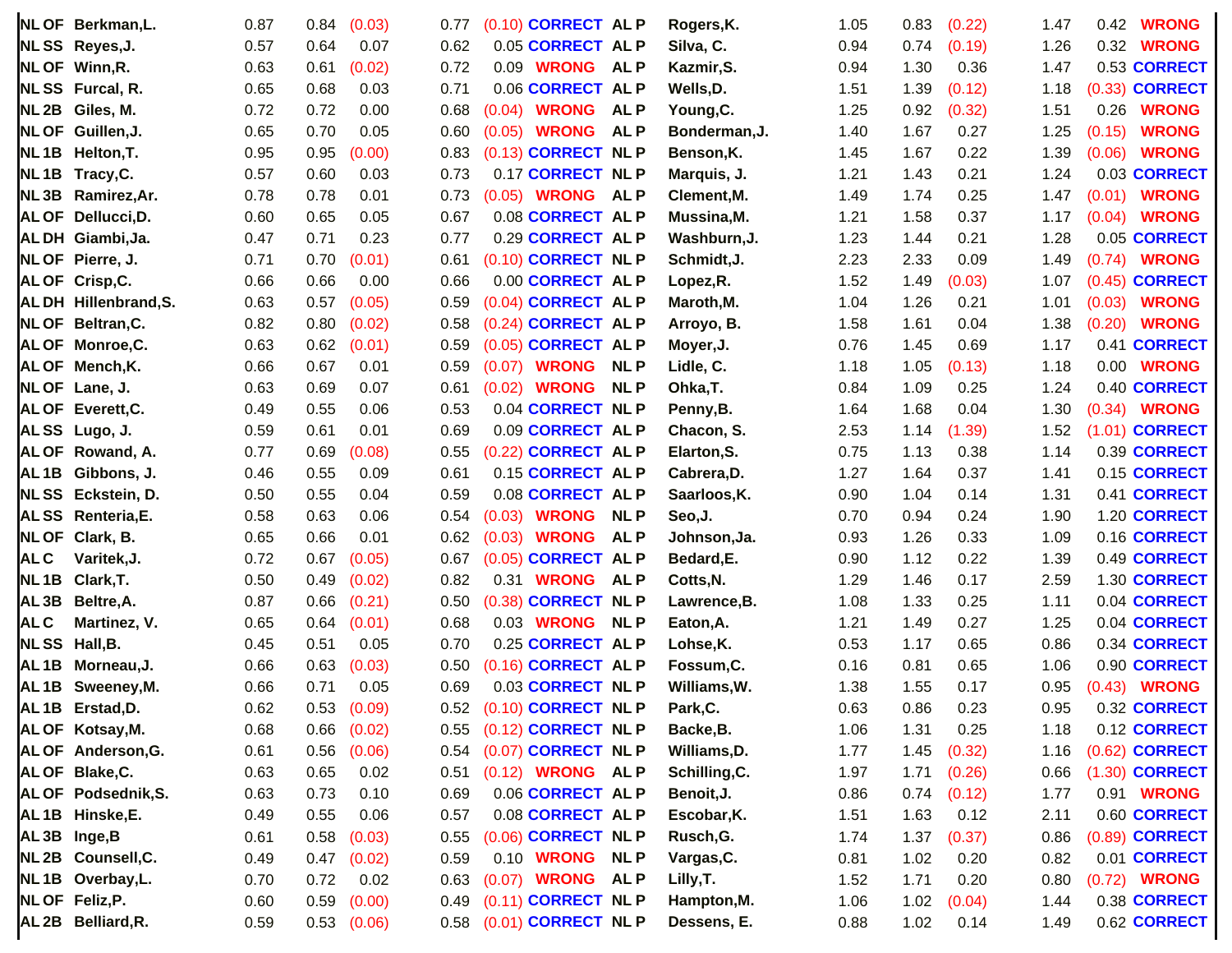|                   | NL OF Berkman, L.           | 0.87 | 0.84 | (0.03)          | 0.77 | $(0.10)$ CORRECT AL P   |            | Rogers, K.    | 1.05 | 0.83 | (0.22) | 1.47 | 0.42     | <b>WRONG</b>          |
|-------------------|-----------------------------|------|------|-----------------|------|-------------------------|------------|---------------|------|------|--------|------|----------|-----------------------|
|                   | NLSS Reyes, J.              | 0.57 | 0.64 | 0.07            | 0.62 | 0.05 CORRECT AL P       |            | Silva, C.     | 0.94 | 0.74 | (0.19) | 1.26 | 0.32     | <b>WRONG</b>          |
|                   | NL OF Winn, R.              | 0.63 | 0.61 | (0.02)          | 0.72 | 0.09 WRONG              | <b>ALP</b> | Kazmir, S.    | 0.94 | 1.30 | 0.36   | 1.47 |          | 0.53 CORRECT          |
|                   | NLSS Furcal, R.             | 0.65 | 0.68 | 0.03            | 0.71 | 0.06 CORRECT AL P       |            | Wells, D.     | 1.51 | 1.39 | (0.12) | 1.18 |          | (0.33) <b>CORRECT</b> |
|                   | NL 2B Giles, M.             | 0.72 | 0.72 | 0.00            | 0.68 | <b>WRONG</b><br>(0.04)  | <b>ALP</b> | Young, C.     | 1.25 | 0.92 | (0.32) | 1.51 | 0.26     | <b>WRONG</b>          |
|                   | NL OF Guillen, J.           | 0.65 | 0.70 | 0.05            | 0.60 | <b>WRONG</b><br>(0.05)  | <b>ALP</b> | Bonderman, J. | 1.40 | 1.67 | 0.27   | 1.25 | (0.15)   | <b>WRONG</b>          |
|                   | NL1B Helton, T.             | 0.95 | 0.95 | (0.00)          | 0.83 | (0.13) CORRECT NL P     |            | Benson, K.    | 1.45 | 1.67 | 0.22   | 1.39 | (0.06)   | <b>WRONG</b>          |
|                   | NL1B Tracy, C.              | 0.57 | 0.60 | 0.03            | 0.73 | 0.17 CORRECT NL P       |            | Marquis, J.   | 1.21 | 1.43 | 0.21   | 1.24 |          | 0.03 CORRECT          |
|                   | NL3B Ramirez, Ar.           | 0.78 | 0.78 | 0.01            | 0.73 | $(0.05)$ WRONG          | <b>ALP</b> | Clement, M.   | 1.49 | 1.74 | 0.25   | 1.47 | (0.01)   | <b>WRONG</b>          |
|                   | AL OF Dellucci, D.          | 0.60 | 0.65 | 0.05            | 0.67 | 0.08 CORRECT AL P       |            | Mussina,M.    | 1.21 | 1.58 | 0.37   | 1.17 | (0.04)   | <b>WRONG</b>          |
|                   | ALDH Giambi, Ja.            | 0.47 | 0.71 | 0.23            | 0.77 | 0.29 CORRECT AL P       |            | Washburn, J.  | 1.23 | 1.44 | 0.21   | 1.28 |          | 0.05 CORRECT          |
|                   | NL OF Pierre, J.            | 0.71 | 0.70 | (0.01)          | 0.61 | (0.10) CORRECT NL P     |            | Schmidt, J.   | 2.23 | 2.33 | 0.09   | 1.49 | (0.74)   | <b>WRONG</b>          |
|                   | AL OF Crisp, C.             | 0.66 | 0.66 | 0.00            | 0.66 | 0.00 CORRECT AL P       |            | Lopez, R.     | 1.52 | 1.49 | (0.03) | 1.07 |          | $(0.45)$ CORRECT      |
|                   | <b>ALDH Hillenbrand, S.</b> | 0.63 | 0.57 | (0.05)          | 0.59 | (0.04) CORRECT AL P     |            | Maroth, M.    | 1.04 | 1.26 | 0.21   | 1.01 | (0.03)   | <b>WRONG</b>          |
|                   | NL OF Beltran, C.           | 0.82 | 0.80 | (0.02)          | 0.58 | (0.24) CORRECT AL P     |            | Arroyo, B.    | 1.58 | 1.61 | 0.04   | 1.38 | (0.20)   | <b>WRONG</b>          |
|                   | AL OF Monroe, C.            | 0.63 | 0.62 | (0.01)          | 0.59 | (0.05) CORRECT AL P     |            | Moyer, J.     | 0.76 | 1.45 | 0.69   | 1.17 |          | 0.41 CORRECT          |
|                   | AL OF Mench, K.             | 0.66 | 0.67 | 0.01            | 0.59 | (0.07)<br><b>WRONG</b>  | <b>NLP</b> | Lidle, C.     | 1.18 | 1.05 | (0.13) | 1.18 | $0.00\,$ | <b>WRONG</b>          |
|                   | NL OF Lane, J.              | 0.63 | 0.69 | 0.07            | 0.61 | <b>WRONG</b><br>(0.02)  | <b>NLP</b> | Ohka, T.      | 0.84 | 1.09 | 0.25   | 1.24 |          | 0.40 CORRECT          |
|                   | AL OF Everett, C.           | 0.49 | 0.55 | 0.06            | 0.53 | 0.04 CORRECT NL P       |            | Penny, B.     | 1.64 | 1.68 | 0.04   | 1.30 | (0.34)   | <b>WRONG</b>          |
|                   | ALSS Lugo, J.               | 0.59 | 0.61 | 0.01            | 0.69 | 0.09 CORRECT AL P       |            | Chacon, S.    | 2.53 | 1.14 | (1.39) | 1.52 |          | (1.01) <b>CORRECT</b> |
|                   | AL OF Rowand, A.            | 0.77 | 0.69 | (0.08)          | 0.55 | (0.22) CORRECT AL P     |            | Elarton, S.   | 0.75 | 1.13 | 0.38   | 1.14 |          | 0.39 CORRECT          |
|                   | AL1B Gibbons, J.            | 0.46 | 0.55 | 0.09            | 0.61 | 0.15 CORRECT AL P       |            | Cabrera, D.   | 1.27 | 1.64 | 0.37   | 1.41 |          | 0.15 CORRECT          |
|                   | NLSS Eckstein, D.           | 0.50 | 0.55 | 0.04            | 0.59 | 0.08 CORRECT AL P       |            | Saarloos, K.  | 0.90 | 1.04 | 0.14   | 1.31 |          | 0.41 CORRECT          |
|                   | ALSS Renteria, E.           | 0.58 | 0.63 | 0.06            | 0.54 | <b>WRONG</b><br>(0.03)  | <b>NLP</b> | Seo,J.        | 0.70 | 0.94 | 0.24   | 1.90 |          | 1.20 CORRECT          |
| <b>NLOF</b>       | Clark, B.                   | 0.65 | 0.66 | 0.01            | 0.62 | <b>WRONG</b><br>(0.03)  | <b>ALP</b> | Johnson,Ja.   | 0.93 | 1.26 | 0.33   | 1.09 |          | 0.16 CORRECT          |
| AL C              | Varitek, J.                 | 0.72 | 0.67 | (0.05)          | 0.67 | (0.05) CORRECT AL P     |            | Bedard, E.    | 0.90 | 1.12 | 0.22   | 1.39 |          | 0.49 CORRECT          |
| NL 1B             | Clark, T.                   | 0.50 | 0.49 | (0.02)          | 0.82 | <b>WRONG</b><br>0.31    | <b>ALP</b> | Cotts, N.     | 1.29 | 1.46 | 0.17   | 2.59 |          | 1.30 CORRECT          |
| AL <sub>3</sub> B | Beltre, A.                  | 0.87 | 0.66 | (0.21)          | 0.50 | (0.38) CORRECT NL P     |            | Lawrence, B.  | 1.08 | 1.33 | 0.25   | 1.11 |          | 0.04 CORRECT          |
| <b>ALC</b>        | Martinez, V.                | 0.65 | 0.64 | (0.01)          | 0.68 | 0.03 <b>WRONG</b>       | <b>NLP</b> | Eaton, A.     | 1.21 | 1.49 | 0.27   | 1.25 |          | 0.04 CORRECT          |
| <b>NLSS</b>       | Hall, B.                    | 0.45 | 0.51 | 0.05            | 0.70 | 0.25 CORRECT AL P       |            | Lohse, K.     | 0.53 | 1.17 | 0.65   | 0.86 |          | 0.34 CORRECT          |
| AL 1B             | Morneau, J.                 | 0.66 | 0.63 | (0.03)          | 0.50 | (0.16) CORRECT AL P     |            | Fossum, C.    | 0.16 | 0.81 | 0.65   | 1.06 |          | 0.90 CORRECT          |
|                   | AL1B Sweeney, M.            | 0.66 | 0.71 | 0.05            | 0.69 | 0.03 CORRECT NL P       |            | Williams, W.  | 1.38 | 1.55 | 0.17   | 0.95 | (0.43)   | <b>WRONG</b>          |
|                   | AL <sub>1B</sub> Erstad, D. | 0.62 | 0.53 | (0.09)          | 0.52 | (0.10) CORRECT NL P     |            | Park, C.      | 0.63 | 0.86 | 0.23   | 0.95 |          | 0.32 CORRECT          |
|                   | AL OF Kotsay, M.            | 0.68 | 0.66 | (0.02)          | 0.55 | $(0.12)$ CORRECT NL P   |            | Backe, B.     | 1.06 | 1.31 | 0.25   | 1.18 |          | 0.12 CORRECT          |
|                   | AL OF Anderson, G.          | 0.61 | 0.56 | (0.06)          | 0.54 | (0.07) CORRECT NL P     |            | Williams, D.  | 1.77 | 1.45 | (0.32) | 1.16 |          | $(0.62)$ CORRECT      |
|                   | AL OF Blake, C.             | 0.63 | 0.65 | 0.02            | 0.51 | $(0.12)$ WRONG ALP      |            | Schilling, C. | 1.97 | 1.71 | (0.26) | 0.66 |          | $(1.30)$ CORRECT      |
|                   | AL OF Podsednik, S.         | 0.63 | 0.73 | 0.10            | 0.69 | 0.06 CORRECT AL P       |            | Benoit, J.    | 0.86 | 0.74 | (0.12) | 1.77 |          | 0.91 <b>WRONG</b>     |
|                   | AL1B Hinske, E.             | 0.49 | 0.55 | 0.06            | 0.57 | 0.08 CORRECT AL P       |            | Escobar, K.   | 1.51 | 1.63 | 0.12   | 2.11 |          | 0.60 CORRECT          |
|                   | AL3B Inge,B                 | 0.61 | 0.58 | (0.03)          | 0.55 | (0.06) CORRECT NL P     |            | Rusch, G.     | 1.74 | 1.37 | (0.37) | 0.86 |          | (0.89) <b>CORRECT</b> |
|                   | NL 2B Counsell, C.          | 0.49 | 0.47 | (0.02)          | 0.59 | 0.10 WRONG NLP          |            | Vargas, C.    | 0.81 | 1.02 | 0.20   | 0.82 |          | 0.01 CORRECT          |
|                   | NL1B Overbay, L.            | 0.70 | 0.72 | 0.02            | 0.63 | (0.07) <b>WRONG</b> ALP |            | Lilly, T.     | 1.52 | 1.71 | 0.20   | 0.80 |          | (0.72) <b>WRONG</b>   |
|                   | NL OF Feliz, P.             | 0.60 | 0.59 | (0.00)          | 0.49 | (0.11) CORRECT NL P     |            | Hampton, M.   | 1.06 | 1.02 | (0.04) | 1.44 |          | 0.38 CORRECT          |
|                   | AL 2B Belliard, R.          | 0.59 |      | $0.53$ $(0.06)$ | 0.58 | (0.01) CORRECT NL P     |            | Dessens, E.   | 0.88 | 1.02 | 0.14   | 1.49 |          | 0.62 CORRECT          |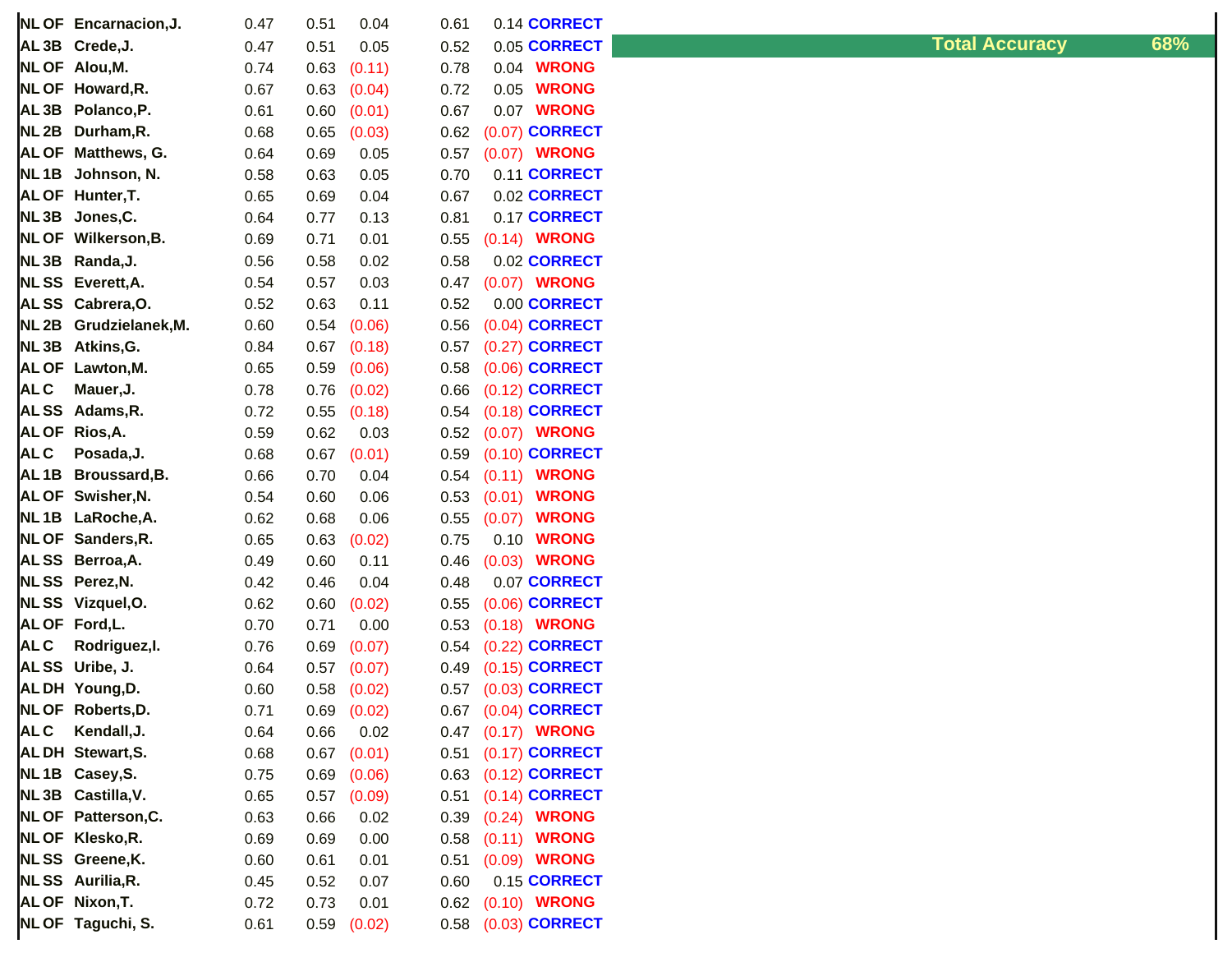|                   | NL OF Encarnacion, J.     | 0.47 | 0.51 | 0.04            | 0.61 | 0.14 CORRECT           |
|-------------------|---------------------------|------|------|-----------------|------|------------------------|
| AL <sub>3</sub> B | Crede, J.                 | 0.47 | 0.51 | 0.05            | 0.52 | 0.05 CORRECT           |
| <b>NLOF</b>       | Alou, M.                  | 0.74 | 0.63 | (0.11)          | 0.78 | <b>WRONG</b><br>0.04   |
| <b>NLOF</b>       | Howard, R.                | 0.67 | 0.63 | (0.04)          | 0.72 | 0.05<br><b>WRONG</b>   |
| AL <sub>3</sub> B | Polanco, P.               | 0.61 | 0.60 | (0.01)          | 0.67 | <b>WRONG</b><br>0.07   |
| NL <sub>2B</sub>  | Durham, R.                | 0.68 | 0.65 | (0.03)          | 0.62 | (0.07) CORRECT         |
| <b>AL OF</b>      | Matthews, G.              | 0.64 | 0.69 | 0.05            | 0.57 | (0.07) WRONG           |
| NL <sub>1B</sub>  | Johnson, N.               | 0.58 | 0.63 | 0.05            | 0.70 | 0.11 CORRECT           |
| <b>ALOF</b>       | Hunter, T.                | 0.65 | 0.69 | 0.04            | 0.67 | 0.02 CORRECT           |
| NL <sub>3</sub> B | Jones, C.                 | 0.64 | 0.77 | 0.13            | 0.81 | 0.17 CORRECT           |
| <b>NLOF</b>       | Wilkerson, B.             | 0.69 | 0.71 | 0.01            | 0.55 | (0.14) <b>WRONG</b>    |
| NL <sub>3</sub> B | Randa, J.                 | 0.56 | 0.58 | 0.02            | 0.58 | 0.02 CORRECT           |
| <b>NLSS</b>       | Everett, A.               | 0.54 | 0.57 | 0.03            | 0.47 | (0.07) WRONG           |
| <b>ALSS</b>       | Cabrera, O.               | 0.52 | 0.63 | 0.11            | 0.52 | 0.00 CORRECT           |
| NL <sub>2B</sub>  | Grudzielanek, M.          | 0.60 | 0.54 | (0.06)          | 0.56 | $(0.04)$ CORRECT       |
| NL <sub>3</sub> B | Atkins, G.                | 0.84 | 0.67 | (0.18)          | 0.57 | $(0.27)$ CORRECT       |
| <b>AL OF</b>      | Lawton, M.                | 0.65 | 0.59 | (0.06)          | 0.58 | (0.06) CORRECT         |
| <b>ALC</b>        | Mauer, J.                 | 0.78 | 0.76 | (0.02)          | 0.66 | (0.12) <b>CORRECT</b>  |
| <b>ALSS</b>       | Adams, R.                 | 0.72 | 0.55 | (0.18)          | 0.54 | (0.18) <b>CORRECT</b>  |
| <b>AL OF</b>      | Rios, A.                  | 0.59 | 0.62 | 0.03            | 0.52 | (0.07) WRONG           |
| <b>ALC</b>        | Posada, J.                | 0.68 | 0.67 | (0.01)          | 0.59 | (0.10) <b>CORRECT</b>  |
| AL <sub>1B</sub>  | Broussard, B.             | 0.66 | 0.70 | 0.04            | 0.54 | (0.11) <b>WRONG</b>    |
|                   | AL OF Swisher, N.         | 0.54 | 0.60 | 0.06            | 0.53 | (0.01)<br><b>WRONG</b> |
| NL <sub>1B</sub>  | LaRoche, A.               | 0.62 | 0.68 | 0.06            | 0.55 | <b>WRONG</b><br>(0.07) |
| <b>NLOF</b>       | Sanders, R.               | 0.65 | 0.63 | (0.02)          | 0.75 | <b>WRONG</b><br>0.10   |
| <b>ALSS</b>       | Berroa, A.                | 0.49 | 0.60 | 0.11            | 0.46 | $(0.03)$ WRONG         |
| <b>NLSS</b>       | Perez, N.                 | 0.42 | 0.46 | 0.04            | 0.48 | 0.07 CORRECT           |
| <b>NLSS</b>       | Vizquel, O.               | 0.62 | 0.60 | (0.02)          | 0.55 | (0.06) <b>CORRECT</b>  |
| <b>ALOF</b>       | Ford, L.                  | 0.70 | 0.71 | 0.00            | 0.53 | $(0.18)$ WRONG         |
| <b>ALC</b>        | Rodriguez, I.             | 0.76 | 0.69 | (0.07)          | 0.54 | (0.22) <b>CORRECT</b>  |
| <b>ALSS</b>       | Uribe, J.                 | 0.64 | 0.57 | (0.07)          | 0.49 | $(0.15)$ CORRECT       |
|                   | ALDH Young,D.             | 0.60 | 0.58 | (0.02)          | 0.57 | $(0.03)$ CORRECT       |
|                   | NL OF Roberts, D.         | 0.71 |      | $0.69$ $(0.02)$ |      | 0.67 (0.04) CORRECT    |
| <b>ALC</b>        | Kendall, J.               | 0.64 | 0.66 | 0.02            | 0.47 | $(0.17)$ WRONG         |
|                   | AL DH Stewart, S.         | 0.68 | 0.67 | (0.01)          | 0.51 | $(0.17)$ CORRECT       |
|                   | NL1B Casey, S.            | 0.75 | 0.69 | (0.06)          | 0.63 | (0.12) <b>CORRECT</b>  |
|                   | NL3B Castilla, V.         | 0.65 | 0.57 | (0.09)          | 0.51 | $(0.14)$ CORRECT       |
|                   | <b>NLOF Patterson, C.</b> | 0.63 | 0.66 | 0.02            | 0.39 | (0.24) <b>WRONG</b>    |
|                   | NL OF Klesko, R.          | 0.69 | 0.69 | 0.00            | 0.58 | (0.11) <b>WRONG</b>    |
|                   | NLSS Greene, K.           | 0.60 | 0.61 | 0.01            | 0.51 | $(0.09)$ WRONG         |
|                   | NLSS Aurilia, R.          | 0.45 | 0.52 | 0.07            | 0.60 | 0.15 CORRECT           |
|                   | AL OF Nixon, T.           | 0.72 | 0.73 | 0.01            | 0.62 | (0.10) <b>WRONG</b>    |
|                   | NL OF Taguchi, S.         | 0.61 | 0.59 | (0.02)          | 0.58 | $(0.03)$ CORRECT       |

## **AL 3B Crede,J.** 0.47 0.51 0.05 0.52 0.05 **CORRECT Total Accuracy 68%**